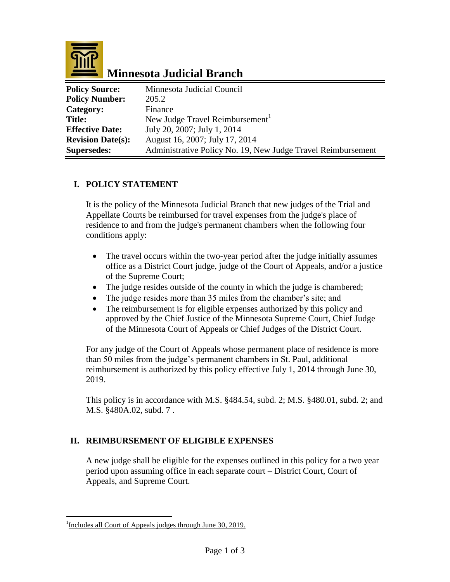

# **Minnesota Judicial Branch**

| <b>Policy Source:</b>    | Minnesota Judicial Council                                   |
|--------------------------|--------------------------------------------------------------|
| <b>Policy Number:</b>    | 205.2                                                        |
| Category:                | Finance                                                      |
| <b>Title:</b>            | New Judge Travel Reimbursement $\frac{1}{2}$                 |
| <b>Effective Date:</b>   | July 20, 2007; July 1, 2014                                  |
| <b>Revision Date(s):</b> | August 16, 2007; July 17, 2014                               |
| <b>Supersedes:</b>       | Administrative Policy No. 19, New Judge Travel Reimbursement |

#### **I. POLICY STATEMENT**

It is the policy of the Minnesota Judicial Branch that new judges of the Trial and Appellate Courts be reimbursed for travel expenses from the judge's place of residence to and from the judge's permanent chambers when the following four conditions apply:

- The travel occurs within the two-year period after the judge initially assumes office as a District Court judge, judge of the Court of Appeals, and/or a justice of the Supreme Court;
- The judge resides outside of the county in which the judge is chambered;
- The judge resides more than 35 miles from the chamber's site; and
- The reimbursement is for eligible expenses authorized by this policy and approved by the Chief Justice of the Minnesota Supreme Court, Chief Judge of the Minnesota Court of Appeals or Chief Judges of the District Court.

For any judge of the Court of Appeals whose permanent place of residence is more than 50 miles from the judge's permanent chambers in St. Paul, additional reimbursement is authorized by this policy effective July 1, 2014 through June 30, 2019.

This policy is in accordance with M.S. §484.54, subd. 2; M.S. §480.01, subd. 2; and M.S. §480A.02, subd. 7 .

### **II. REIMBURSEMENT OF ELIGIBLE EXPENSES**

A new judge shall be eligible for the expenses outlined in this policy for a two year period upon assuming office in each separate court – District Court, Court of Appeals, and Supreme Court.

 $\overline{a}$ 

<sup>&</sup>lt;sup>1</sup>Includes all Court of Appeals judges through June 30, 2019.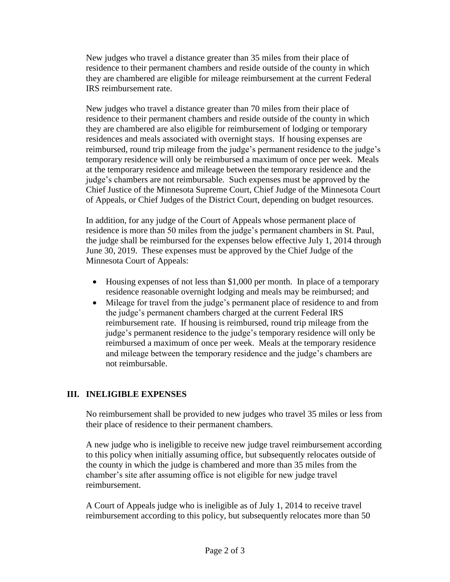New judges who travel a distance greater than 35 miles from their place of residence to their permanent chambers and reside outside of the county in which they are chambered are eligible for mileage reimbursement at the current Federal IRS reimbursement rate.

New judges who travel a distance greater than 70 miles from their place of residence to their permanent chambers and reside outside of the county in which they are chambered are also eligible for reimbursement of lodging or temporary residences and meals associated with overnight stays. If housing expenses are reimbursed, round trip mileage from the judge's permanent residence to the judge's temporary residence will only be reimbursed a maximum of once per week. Meals at the temporary residence and mileage between the temporary residence and the judge's chambers are not reimbursable. Such expenses must be approved by the Chief Justice of the Minnesota Supreme Court, Chief Judge of the Minnesota Court of Appeals, or Chief Judges of the District Court, depending on budget resources.

In addition, for any judge of the Court of Appeals whose permanent place of residence is more than 50 miles from the judge's permanent chambers in St. Paul, the judge shall be reimbursed for the expenses below effective July 1, 2014 through June 30, 2019. These expenses must be approved by the Chief Judge of the Minnesota Court of Appeals:

- Housing expenses of not less than \$1,000 per month. In place of a temporary residence reasonable overnight lodging and meals may be reimbursed; and
- Mileage for travel from the judge's permanent place of residence to and from the judge's permanent chambers charged at the current Federal IRS reimbursement rate. If housing is reimbursed, round trip mileage from the judge's permanent residence to the judge's temporary residence will only be reimbursed a maximum of once per week. Meals at the temporary residence and mileage between the temporary residence and the judge's chambers are not reimbursable.

### **III. INELIGIBLE EXPENSES**

No reimbursement shall be provided to new judges who travel 35 miles or less from their place of residence to their permanent chambers.

A new judge who is ineligible to receive new judge travel reimbursement according to this policy when initially assuming office, but subsequently relocates outside of the county in which the judge is chambered and more than 35 miles from the chamber's site after assuming office is not eligible for new judge travel reimbursement.

A Court of Appeals judge who is ineligible as of July 1, 2014 to receive travel reimbursement according to this policy, but subsequently relocates more than 50